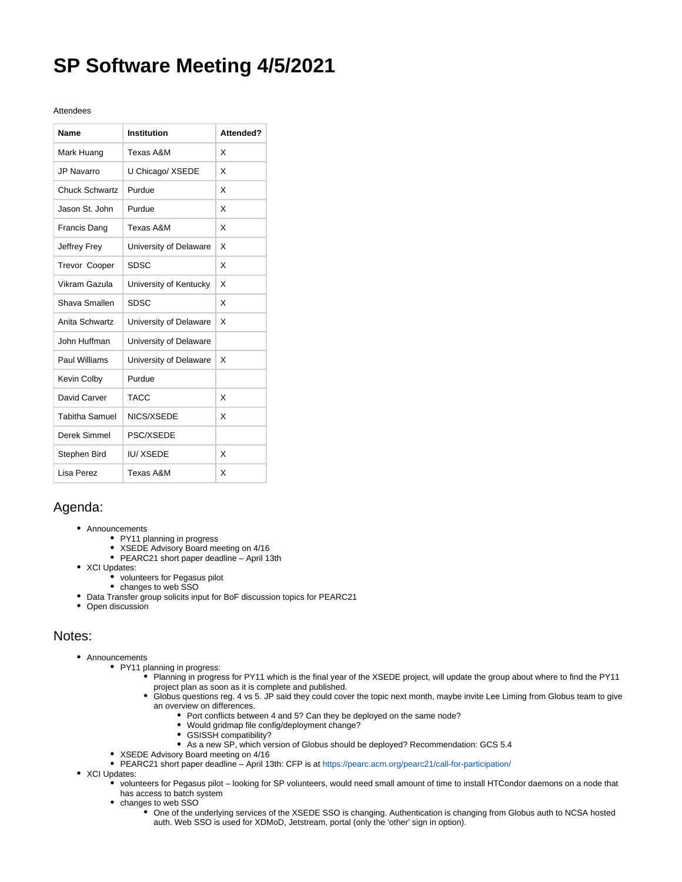## **SP Software Meeting 4/5/2021**

## Attendees

| Name                  | Institution            | Attended? |
|-----------------------|------------------------|-----------|
| Mark Huang            | Texas A&M              | x         |
| JP Navarro            | U Chicago/ XSEDE       | x         |
| <b>Chuck Schwartz</b> | Purdue                 | X         |
| Jason St. John        | Purdue                 | x         |
| <b>Francis Dang</b>   | Texas A&M              | x         |
| Jeffrey Frey          | University of Delaware | x         |
| <b>Trevor Cooper</b>  | <b>SDSC</b>            | x         |
| Vikram Gazula         | University of Kentucky | x         |
| Shava Smallen         | SDSC                   | X         |
| Anita Schwartz        | University of Delaware | X         |
| John Huffman          | University of Delaware |           |
| Paul Williams         | University of Delaware | x         |
| Kevin Colby           | Purdue                 |           |
| David Carver          | <b>TACC</b>            | X         |
| <b>Tabitha Samuel</b> | NICS/XSEDE             | x         |
| Derek Simmel          | PSC/XSEDE              |           |
| Stephen Bird          | <b>IU/XSEDE</b>        | X         |
| Lisa Perez            | Texas A&M              | X         |

## Agenda:

- Announcements
	- PY11 planning in progress
	- XSEDE Advisory Board meeting on 4/16
	- PEARC21 short paper deadline April 13th
- XCI Updates:
	- volunteers for Pegasus pilot
	- changes to web SSO
- Data Transfer group solicits input for BoF discussion topics for PEARC21
- Open discussion

## Notes:

- Announcements
	- PY11 planning in progress:
		- Planning in progress for PY11 which is the final year of the XSEDE project, will update the group about where to find the PY11 project plan as soon as it is complete and published.
		- Globus questions reg. 4 vs 5. JP said they could cover the topic next month, maybe invite Lee Liming from Globus team to give an overview on differences.
			- Port conflicts between 4 and 5? Can they be deployed on the same node?
			- Would gridmap file config/deployment change?
			- $\bullet$ GSISSH compatibility?
			- As a new SP, which version of Globus should be deployed? Recommendation: GCS 5.4
		- XSEDE Advisory Board meeting on 4/16
		- PEARC21 short paper deadline April 13th: CFP is at <https://pearc.acm.org/pearc21/call-for-participation/>
- XCI Updates:
	- volunteers for Pegasus pilot looking for SP volunteers, would need small amount of time to install HTCondor daemons on a node that has access to batch system
		- changes to web SSO
			- One of the underlying services of the XSEDE SSO is changing. Authentication is changing from Globus auth to NCSA hosted auth. Web SSO is used for XDMoD, Jetstream, portal (only the 'other' sign in option).